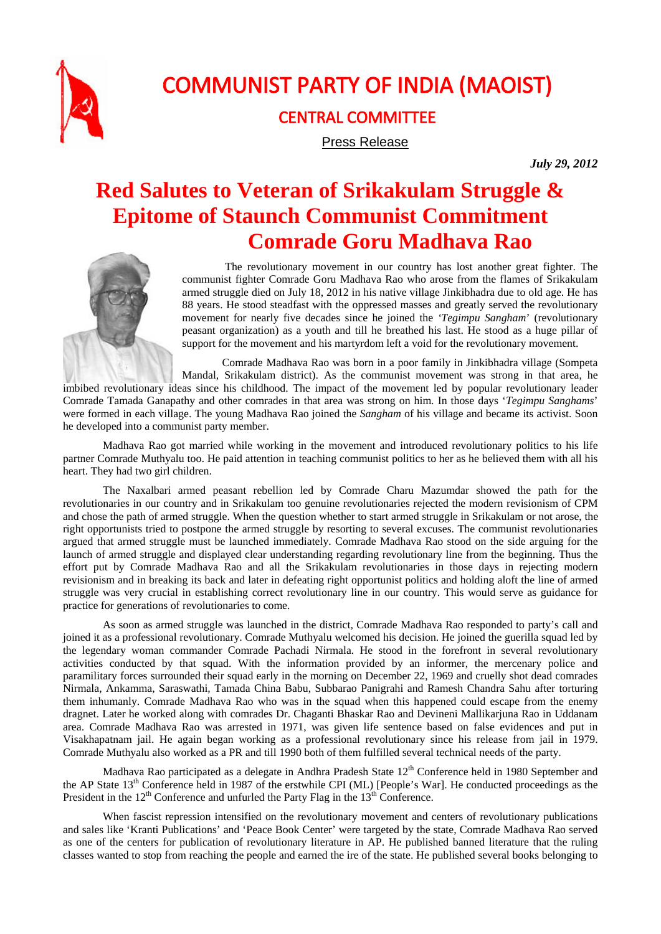

## COMMUNIST PARTY OF INDIA (MAOIST)

## CENTRAL COMMITTEE

Press Release

*July 29, 2012* 

## **Red Salutes to Veteran of Srikakulam Struggle & Epitome of Staunch Communist Commitment Comrade Goru Madhava Rao**



 The revolutionary movement in our country has lost another great fighter. The communist fighter Comrade Goru Madhava Rao who arose from the flames of Srikakulam armed struggle died on July 18, 2012 in his native village Jinkibhadra due to old age. He has 88 years. He stood steadfast with the oppressed masses and greatly served the revolutionary movement for nearly five decades since he joined the *'Tegimpu Sangham*' (revolutionary peasant organization) as a youth and till he breathed his last. He stood as a huge pillar of support for the movement and his martyrdom left a void for the revolutionary movement.

Comrade Madhava Rao was born in a poor family in Jinkibhadra village (Sompeta Mandal, Srikakulam district). As the communist movement was strong in that area, he imbibed revolutionary ideas since his childhood. The impact of the movement led by popular revolutionary leader Comrade Tamada Ganapathy and other comrades in that area was strong on him. In those days '*Tegimpu Sanghams*' were formed in each village. The young Madhava Rao joined the *Sangham* of his village and became its activist. Soon he developed into a communist party member.

Madhava Rao got married while working in the movement and introduced revolutionary politics to his life partner Comrade Muthyalu too. He paid attention in teaching communist politics to her as he believed them with all his heart. They had two girl children.

The Naxalbari armed peasant rebellion led by Comrade Charu Mazumdar showed the path for the revolutionaries in our country and in Srikakulam too genuine revolutionaries rejected the modern revisionism of CPM and chose the path of armed struggle. When the question whether to start armed struggle in Srikakulam or not arose, the right opportunists tried to postpone the armed struggle by resorting to several excuses. The communist revolutionaries argued that armed struggle must be launched immediately. Comrade Madhava Rao stood on the side arguing for the launch of armed struggle and displayed clear understanding regarding revolutionary line from the beginning. Thus the effort put by Comrade Madhava Rao and all the Srikakulam revolutionaries in those days in rejecting modern revisionism and in breaking its back and later in defeating right opportunist politics and holding aloft the line of armed struggle was very crucial in establishing correct revolutionary line in our country. This would serve as guidance for practice for generations of revolutionaries to come.

As soon as armed struggle was launched in the district, Comrade Madhava Rao responded to party's call and joined it as a professional revolutionary. Comrade Muthyalu welcomed his decision. He joined the guerilla squad led by the legendary woman commander Comrade Pachadi Nirmala. He stood in the forefront in several revolutionary activities conducted by that squad. With the information provided by an informer, the mercenary police and paramilitary forces surrounded their squad early in the morning on December 22, 1969 and cruelly shot dead comrades Nirmala, Ankamma, Saraswathi, Tamada China Babu, Subbarao Panigrahi and Ramesh Chandra Sahu after torturing them inhumanly. Comrade Madhava Rao who was in the squad when this happened could escape from the enemy dragnet. Later he worked along with comrades Dr. Chaganti Bhaskar Rao and Devineni Mallikarjuna Rao in Uddanam area. Comrade Madhava Rao was arrested in 1971, was given life sentence based on false evidences and put in Visakhapatnam jail. He again began working as a professional revolutionary since his release from jail in 1979. Comrade Muthyalu also worked as a PR and till 1990 both of them fulfilled several technical needs of the party.

Madhava Rao participated as a delegate in Andhra Pradesh State 12<sup>th</sup> Conference held in 1980 September and the AP State 13<sup>th</sup> Conference held in 1987 of the erstwhile CPI (ML) [People's War]. He conducted proceedings as the President in the  $12<sup>th</sup>$  Conference and unfurled the Party Flag in the  $13<sup>th</sup>$  Conference.

When fascist repression intensified on the revolutionary movement and centers of revolutionary publications and sales like 'Kranti Publications' and 'Peace Book Center' were targeted by the state, Comrade Madhava Rao served as one of the centers for publication of revolutionary literature in AP. He published banned literature that the ruling classes wanted to stop from reaching the people and earned the ire of the state. He published several books belonging to